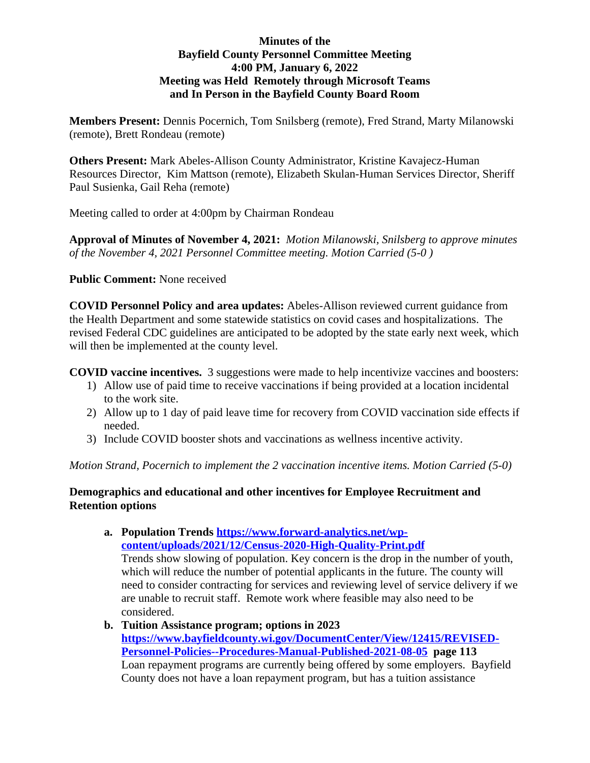## **Minutes of the Bayfield County Personnel Committee Meeting 4:00 PM, January 6, 2022 Meeting was Held Remotely through Microsoft Teams and In Person in the Bayfield County Board Room**

**Members Present:** Dennis Pocernich, Tom Snilsberg (remote), Fred Strand, Marty Milanowski (remote), Brett Rondeau (remote)

**Others Present:** Mark Abeles-Allison County Administrator, Kristine Kavajecz-Human Resources Director, Kim Mattson (remote), Elizabeth Skulan-Human Services Director, Sheriff Paul Susienka, Gail Reha (remote)

Meeting called to order at 4:00pm by Chairman Rondeau

**Approval of Minutes of November 4, 2021:** *Motion Milanowski, Snilsberg to approve minutes of the November 4, 2021 Personnel Committee meeting. Motion Carried (5-0 )*

**Public Comment:** None received

**COVID Personnel Policy and area updates:** Abeles-Allison reviewed current guidance from the Health Department and some statewide statistics on covid cases and hospitalizations. The revised Federal CDC guidelines are anticipated to be adopted by the state early next week, which will then be implemented at the county level.

**COVID vaccine incentives.** 3 suggestions were made to help incentivize vaccines and boosters:

- 1) Allow use of paid time to receive vaccinations if being provided at a location incidental to the work site.
- 2) Allow up to 1 day of paid leave time for recovery from COVID vaccination side effects if needed.
- 3) Include COVID booster shots and vaccinations as wellness incentive activity.

*Motion Strand, Pocernich to implement the 2 vaccination incentive items. Motion Carried (5-0)*

## **Demographics and educational and other incentives for Employee Recruitment and Retention options**

**a. Population Trends [https://www.forward-analytics.net/wp](https://www.forward-analytics.net/wp-content/uploads/2021/12/Census-2020-High-Quality-Print.pdf)content/uploads/2021/12/Census-2020-High-Quality-Print.pdf** Trends show slowing of population. Key concern is the drop in the number of youth, which will reduce the number of potential applicants in the future. The county will need to consider contracting for services and reviewing level of service delivery if we are unable to recruit staff. Remote work where feasible may also need to be considered.

## **b. Tuition Assistance program; options in 2023 [https://www.bayfieldcounty.wi.gov/DocumentCenter/View/12415/REVISED-](https://www.bayfieldcounty.wi.gov/DocumentCenter/View/12415/REVISED-Personnel-Policies--Procedures-Manual-Published-2021-08-05)Personnel-Policies--Procedures-Manual-Published-2021-08-05 page 113** Loan repayment programs are currently being offered by some employers. Bayfield County does not have a loan repayment program, but has a tuition assistance